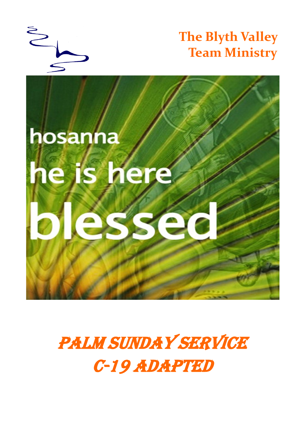

**The Blyth Valley Team Ministry**



PALM SUNDAY SERVICE C-19 adapted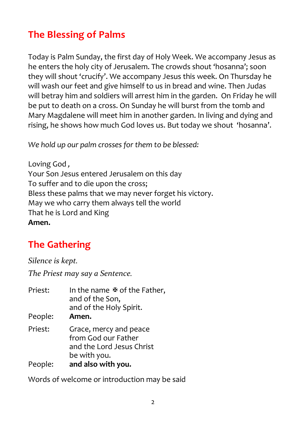# **The Blessing of Palms**

Today is Palm Sunday, the first day of Holy Week. We accompany Jesus as he enters the holy city of Jerusalem. The crowds shout 'hosanna'; soon they will shout 'crucify'. We accompany Jesus this week. On Thursday he will wash our feet and give himself to us in bread and wine. Then Judas will betray him and soldiers will arrest him in the garden. On Friday he will be put to death on a cross. On Sunday he will burst from the tomb and Mary Magdalene will meet him in another garden. In living and dying and rising, he shows how much God loves us. But today we shout 'hosanna'.

*We hold up our palm crosses for them to be blessed:*

Loving God *,* Your Son Jesus entered Jerusalem on this day To suffer and to die upon the cross; Bless these palms that we may never forget his victory. May we who carry them always tell the world That he is Lord and King **Amen.**

# **The Gathering**

*Silence is kept.*

*The Priest may say a Sentence.*

| Priest: | In the name $\Phi$ of the Father,<br>and of the Son,<br>and of the Holy Spirit.            |
|---------|--------------------------------------------------------------------------------------------|
| People: | Amen.                                                                                      |
| Priest: | Grace, mercy and peace<br>from God our Father<br>and the Lord Jesus Christ<br>be with you. |
| People: | and also with you.                                                                         |

Words of welcome or introduction may be said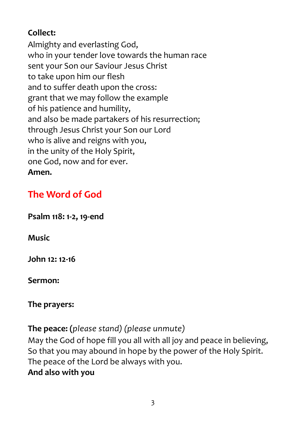# **Collect:**

Almighty and everlasting God, who in your tender love towards the human race sent your Son our Saviour Jesus Christ to take upon him our flesh and to suffer death upon the cross: grant that we may follow the example of his patience and humility, and also be made partakers of his resurrection; through Jesus Christ your Son our Lord who is alive and reigns with you, in the unity of the Holy Spirit, one God, now and for ever. **Amen.**

# **The Word of God**

**Psalm 118: 1-2, 19-end**

**Music**

**John 12: 12-16**

**Sermon:**

#### **The prayers:**

**The peace: (***please stand) (please unmute)*

May the God of hope fill you all with all joy and peace in believing, So that you may abound in hope by the power of the Holy Spirit. The peace of the Lord be always with you. **And also with you**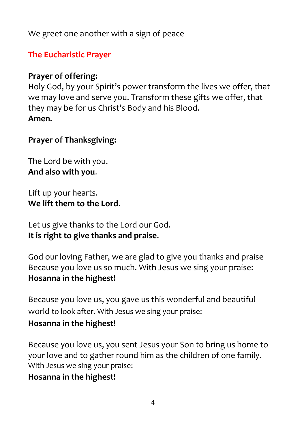We greet one another with a sign of peace

## **The Eucharistic Prayer**

## **Prayer of offering:**

Holy God, by your Spirit's power transform the lives we offer, that we may love and serve you. Transform these gifts we offer, that they may be for us Christ's Body and his Blood. **Amen.**

### **Prayer of Thanksgiving:**

The Lord be with you. **And also with you**.

Lift up your hearts. **We lift them to the Lord**.

Let us give thanks to the Lord our God. **It is right to give thanks and praise**.

God our loving Father, we are glad to give you thanks and praise Because you love us so much. With Jesus we sing your praise: **Hosanna in the highest!**

Because you love us, you gave us this wonderful and beautiful world to look after. With Jesus we sing your praise:

# **Hosanna in the highest!**

Because you love us, you sent Jesus your Son to bring us home to your love and to gather round him as the children of one family. With Jesus we sing your praise:

# **Hosanna in the highest!**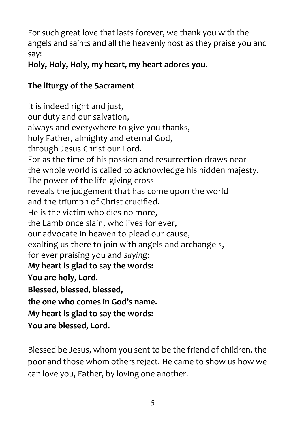For such great love that lasts forever, we thank you with the angels and saints and all the heavenly host as they praise you and say:

**Holy, Holy, Holy, my heart, my heart adores you.**

# **The liturgy of the Sacrament**

It is indeed right and just, our duty and our salvation, always and everywhere to give you thanks, holy Father, almighty and eternal God, through Jesus Christ our Lord. For as the time of his passion and resurrection draws near the whole world is called to acknowledge his hidden majesty. The power of the life-giving cross reveals the judgement that has come upon the world and the triumph of Christ crucified. He is the victim who dies no more, the Lamb once slain, who lives for ever, our advocate in heaven to plead our cause, exalting us there to join with angels and archangels, for ever praising you and *saying*: **My heart is glad to say the words: You are holy, Lord. Blessed, blessed, blessed, the one who comes in God's name. My heart is glad to say the words: You are blessed, Lord.**

Blessed be Jesus, whom you sent to be the friend of children, the poor and those whom others reject. He came to show us how we can love you, Father, by loving one another.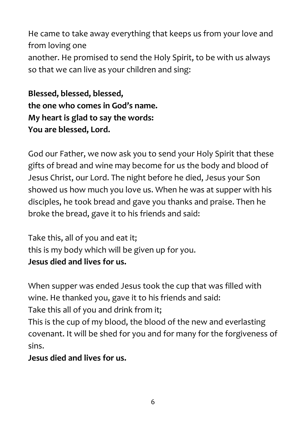He came to take away everything that keeps us from your love and from loving one another. He promised to send the Holy Spirit, to be with us always so that we can live as your children and sing:

**Blessed, blessed, blessed, the one who comes in God's name. My heart is glad to say the words: You are blessed, Lord.**

God our Father, we now ask you to send your Holy Spirit that these gifts of bread and wine may become for us the body and blood of Jesus Christ, our Lord. The night before he died, Jesus your Son showed us how much you love us. When he was at supper with his disciples, he took bread and gave you thanks and praise. Then he broke the bread, gave it to his friends and said:

Take this, all of you and eat it; this is my body which will be given up for you. **Jesus died and lives for us.**

When supper was ended Jesus took the cup that was filled with wine. He thanked you, gave it to his friends and said: Take this all of you and drink from it; This is the cup of my blood, the blood of the new and everlasting covenant. It will be shed for you and for many for the forgiveness of

sins.

**Jesus died and lives for us.**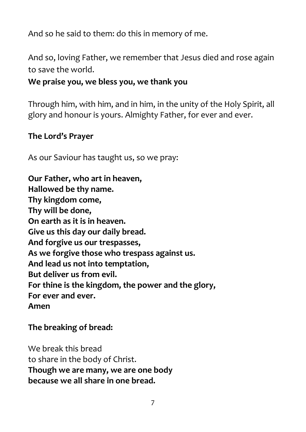And so he said to them: do this in memory of me.

And so, loving Father, we remember that Jesus died and rose again to save the world.

#### **We praise you, we bless you, we thank you**

Through him, with him, and in him, in the unity of the Holy Spirit, all glory and honour is yours. Almighty Father, for ever and ever.

#### **The Lord's Prayer**

As our Saviour has taught us, so we pray:

**Our Father, who art in heaven, Hallowed be thy name. Thy kingdom come, Thy will be done, On earth as it is in heaven. Give us this day our daily bread. And forgive us our trespasses, As we forgive those who trespass against us. And lead us not into temptation, But deliver us from evil. For thine is the kingdom, the power and the glory, For ever and ever. Amen** 

#### **The breaking of bread:**

We break this bread to share in the body of Christ. **Though we are many, we are one body because we all share in one bread.**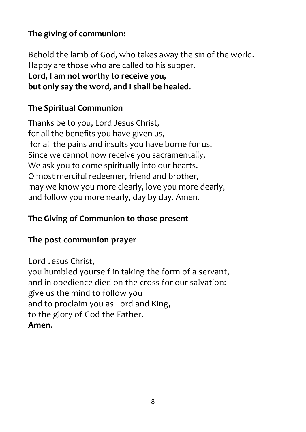# **The giving of communion:**

Behold the lamb of God, who takes away the sin of the world. Happy are those who are called to his supper. **Lord, I am not worthy to receive you, but only say the word, and I shall be healed.**

# **The Spiritual Communion**

Thanks be to you, Lord Jesus Christ, for all the benefits you have given us, for all the pains and insults you have borne for us. Since we cannot now receive you sacramentally, We ask you to come spiritually into our hearts. O most merciful redeemer, friend and brother, may we know you more clearly, love you more dearly, and follow you more nearly, day by day. Amen.

# **The Giving of Communion to those present**

# **The post communion prayer**

Lord Jesus Christ, you humbled yourself in taking the form of a servant, and in obedience died on the cross for our salvation: give us the mind to follow you and to proclaim you as Lord and King, to the glory of God the Father. **Amen.**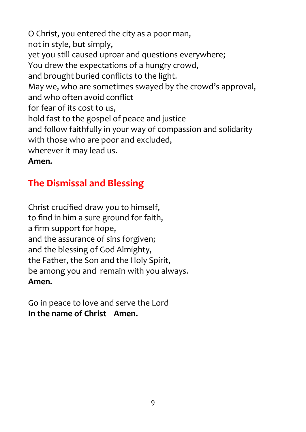O Christ, you entered the city as a poor man, not in style, but simply, yet you still caused uproar and questions everywhere; You drew the expectations of a hungry crowd, and brought buried conflicts to the light. May we, who are sometimes swayed by the crowd's approval, and who often avoid conflict for fear of its cost to us, hold fast to the gospel of peace and justice and follow faithfully in your way of compassion and solidarity with those who are poor and excluded, wherever it may lead us.

#### **Amen.**

# **The Dismissal and Blessing**

Christ crucified draw you to himself, to find in him a sure ground for faith, a firm support for hope, and the assurance of sins forgiven; and the blessing of God Almighty, the Father, the Son and the Holy Spirit, be among you and remain with you always. **Amen.**

Go in peace to love and serve the Lord **In the name of Christ Amen.**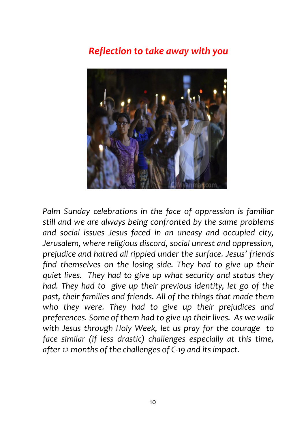# *Reflection to take away with you*



*Palm Sunday celebrations in the face of oppression is familiar still and we are always being confronted by the same problems and social issues Jesus faced in an uneasy and occupied city, Jerusalem, where religious discord, social unrest and oppression, prejudice and hatred all rippled under the surface. Jesus' friends find themselves on the losing side. They had to give up their quiet lives. They had to give up what security and status they had. They had to give up their previous identity, let go of the past, their families and friends. All of the things that made them who they were. They had to give up their prejudices and preferences. Some of them had to give up their lives. As we walk with Jesus through Holy Week, let us pray for the courage to face similar (if less drastic) challenges especially at this time, after 12 months of the challenges of C-19 and its impact.*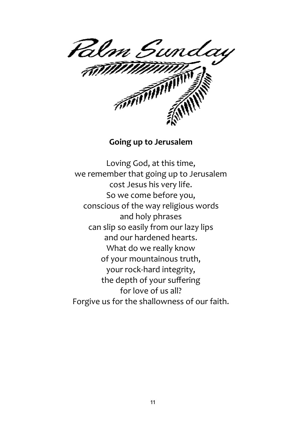

#### **Going up to Jerusalem**

Loving God, at this time, we remember that going up to Jerusalem cost Jesus his very life. So we come before you, conscious of the way religious words and holy phrases can slip so easily from our lazy lips and our hardened hearts. What do we really know of your mountainous truth, your rock-hard integrity, the depth of your suffering for love of us all? Forgive us for the shallowness of our faith.